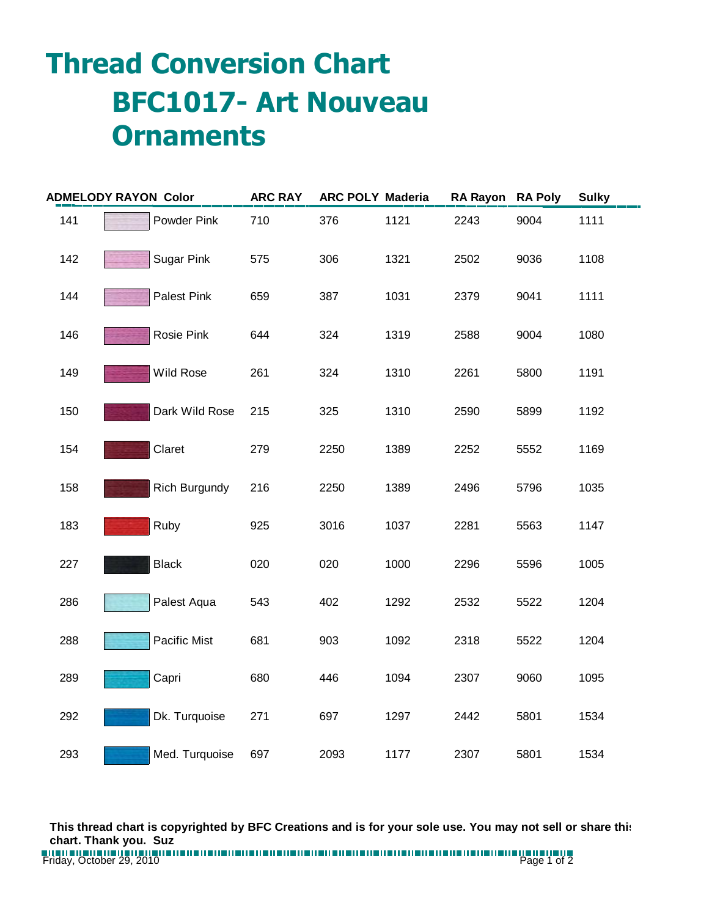## **Thread Conversion Chart BFC1017- Art Nouveau Ornaments**

| <b>ADMELODY RAYON Color</b> |                   | <b>ARC RAY</b> | <b>ARC POLY Maderia</b> |      | RA Rayon RA Poly |      | <b>Sulky</b> |  |
|-----------------------------|-------------------|----------------|-------------------------|------|------------------|------|--------------|--|
| 141                         | Powder Pink       | 710            | 376                     | 1121 | 2243             | 9004 | 1111         |  |
| 142                         | <b>Sugar Pink</b> | 575            | 306                     | 1321 | 2502             | 9036 | 1108         |  |
| 144                         | Palest Pink       | 659            | 387                     | 1031 | 2379             | 9041 | 1111         |  |
| 146                         | Rosie Pink        | 644            | 324                     | 1319 | 2588             | 9004 | 1080         |  |
| 149                         | <b>Wild Rose</b>  | 261            | 324                     | 1310 | 2261             | 5800 | 1191         |  |
| 150                         | Dark Wild Rose    | 215            | 325                     | 1310 | 2590             | 5899 | 1192         |  |
| 154                         | Claret            | 279            | 2250                    | 1389 | 2252             | 5552 | 1169         |  |
| 158                         | Rich Burgundy     | 216            | 2250                    | 1389 | 2496             | 5796 | 1035         |  |
| 183                         | Ruby              | 925            | 3016                    | 1037 | 2281             | 5563 | 1147         |  |
| 227                         | <b>Black</b>      | 020            | 020                     | 1000 | 2296             | 5596 | 1005         |  |
| 286                         | Palest Aqua       | 543            | 402                     | 1292 | 2532             | 5522 | 1204         |  |
| 288                         | Pacific Mist      | 681            | 903                     | 1092 | 2318             | 5522 | 1204         |  |
| 289                         | Capri             | 680            | 446                     | 1094 | 2307             | 9060 | 1095         |  |
| 292                         | Dk. Turquoise     | 271            | 697                     | 1297 | 2442             | 5801 | 1534         |  |
| 293                         | Med. Turquoise    | 697            | 2093                    | 1177 | 2307             | 5801 | 1534         |  |

**This thread chart is copyrighted by BFC Creations and is for your sole use. You may not sell or share this chart. Thank you. Suz**